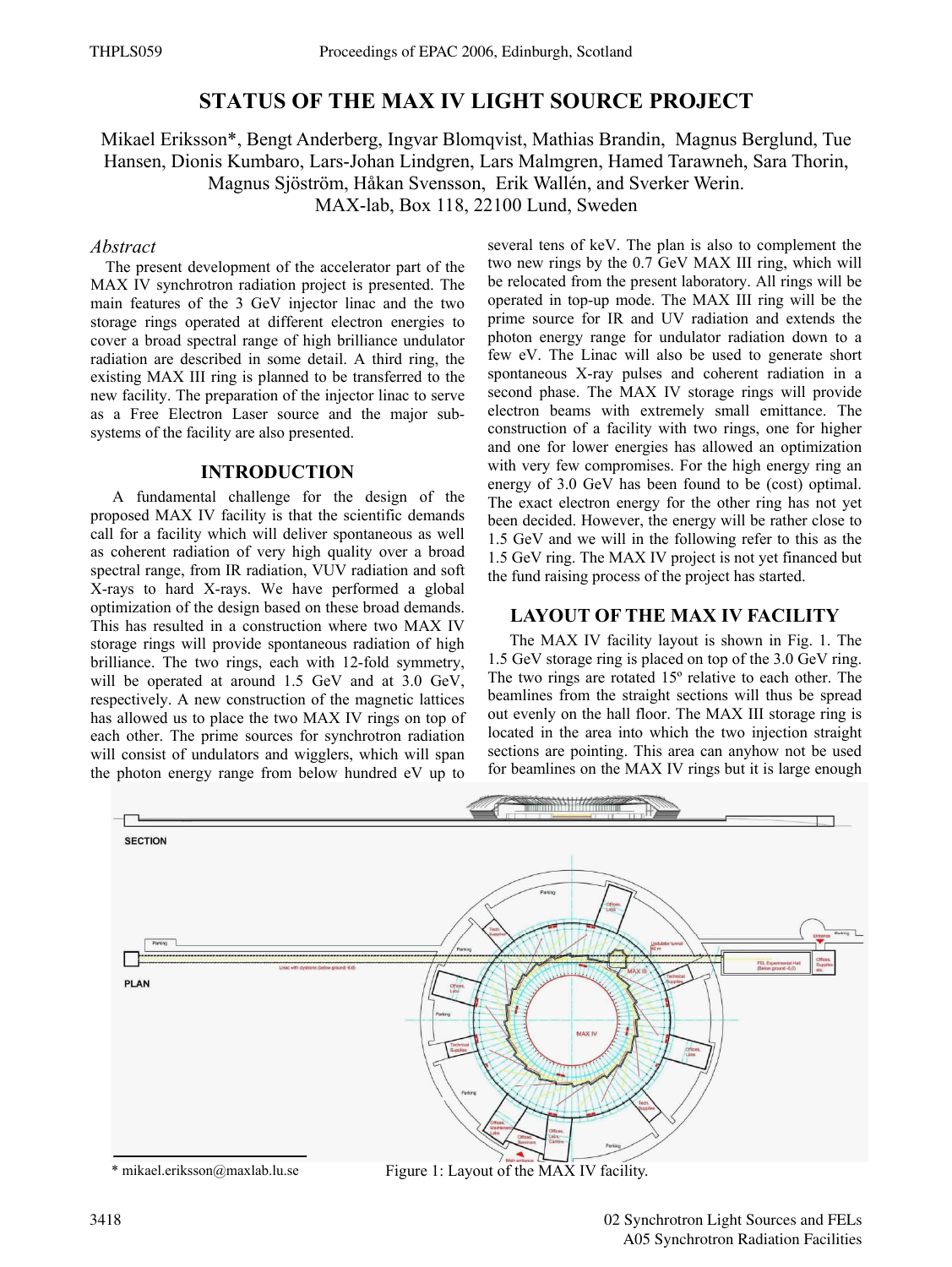# **STATUS OF THE MAX IV LIGHT SOURCE PROJECT**

Mikael Eriksson\*, Bengt Anderberg, Ingvar Blomqvist, Mathias Brandin, Magnus Berglund, Tue Hansen, Dionis Kumbaro, Lars-Johan Lindgren, Lars Malmgren, Hamed Tarawneh, Sara Thorin, Magnus Sjöström, Håkan Svensson, Erik Wallén, and Sverker Werin. MAX-lab, Box 118, 22100 Lund, Sweden

#### *Abstract*

The present development of the accelerator part of the MAX IV synchrotron radiation project is presented. The main features of the 3 GeV injector linac and the two storage rings operated at different electron energies to cover a broad spectral range of high brilliance undulator radiation are described in some detail. A third ring, the existing MAX III ring is planned to be transferred to the new facility. The preparation of the injector linac to serve as a Free Electron Laser source and the major subsystems of the facility are also presented.

## **INTRODUCTION**

A fundamental challenge for the design of the proposed MAX IV facility is that the scientific demands call for a facility which will deliver spontaneous as well as coherent radiation of very high quality over a broad spectral range, from IR radiation, VUV radiation and soft X-rays to hard X-rays. We have performed a global optimization of the design based on these broad demands. This has resulted in a construction where two MAX IV storage rings will provide spontaneous radiation of high brilliance. The two rings, each with 12-fold symmetry, will be operated at around 1.5 GeV and at 3.0 GeV, respectively. A new construction of the magnetic lattices has allowed us to place the two MAX IV rings on top of each other. The prime sources for synchrotron radiation will consist of undulators and wigglers, which will span the photon energy range from below hundred eV up to several tens of keV. The plan is also to complement the two new rings by the 0.7 GeV MAX III ring, which will be relocated from the present laboratory. All rings will be operated in top-up mode. The MAX III ring will be the prime source for IR and UV radiation and extends the photon energy range for undulator radiation down to a few eV. The Linac will also be used to generate short spontaneous X-ray pulses and coherent radiation in a second phase. The MAX IV storage rings will provide electron beams with extremely small emittance. The construction of a facility with two rings, one for higher and one for lower energies has allowed an optimization with very few compromises. For the high energy ring an energy of 3.0 GeV has been found to be (cost) optimal. The exact electron energy for the other ring has not yet been decided. However, the energy will be rather close to 1.5 GeV and we will in the following refer to this as the 1.5 GeV ring. The MAX IV project is not yet financed but the fund raising process of the project has started.

## **LAYOUT OF THE MAX IV FACILITY**

The MAX IV facility layout is shown in Fig. 1. The 1.5 GeV storage ring is placed on top of the 3.0 GeV ring. The two rings are rotated 15º relative to each other. The beamlines from the straight sections will thus be spread out evenly on the hall floor. The MAX III storage ring is located in the area into which the two injection straight sections are pointing. This area can anyhow not be used for beamlines on the MAX IV rings but it is large enough

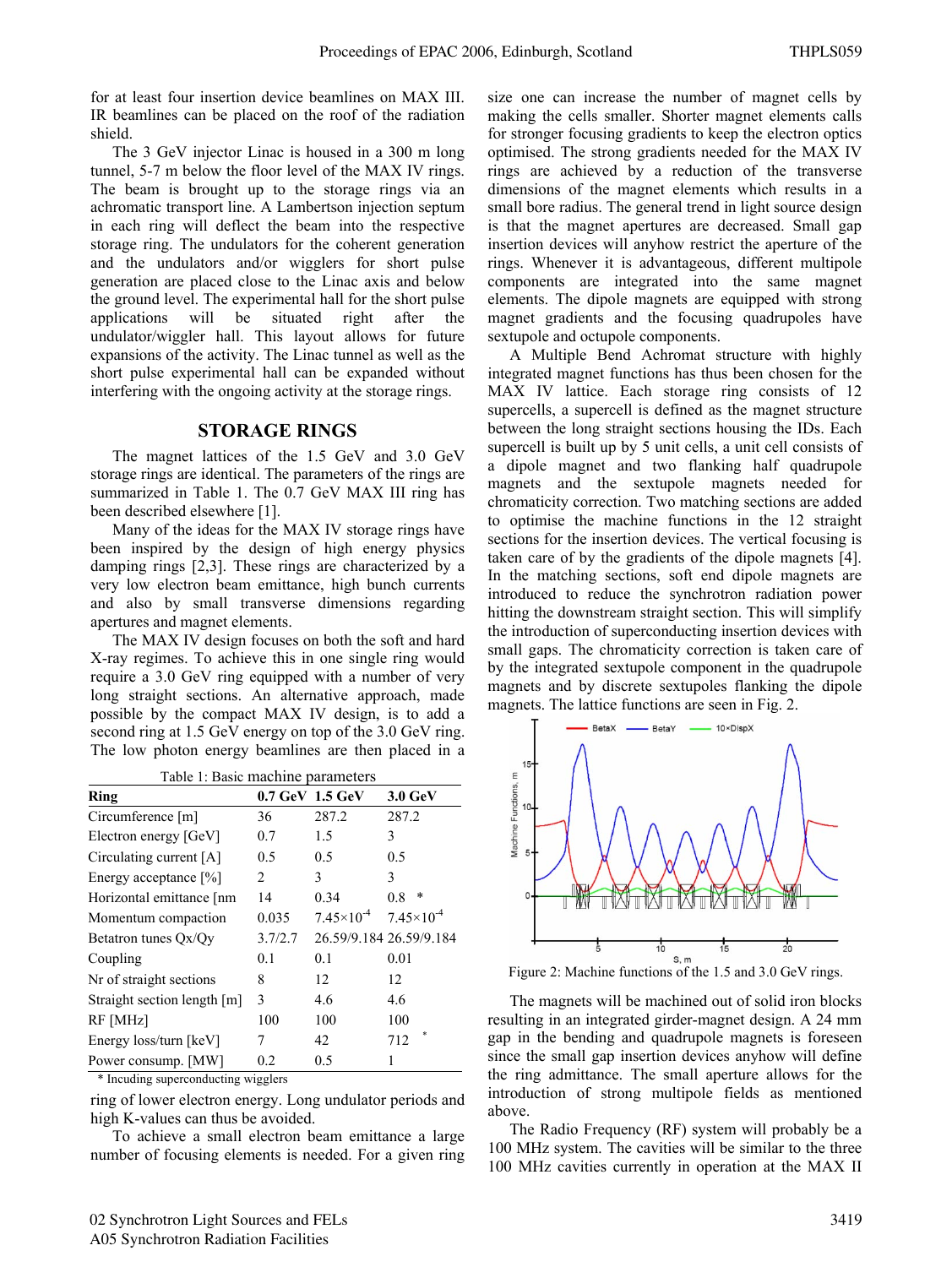for at least four insertion device beamlines on MAX III. IR beamlines can be placed on the roof of the radiation shield.

The 3 GeV injector Linac is housed in a 300 m long tunnel, 5-7 m below the floor level of the MAX IV rings. The beam is brought up to the storage rings via an achromatic transport line. A Lambertson injection septum in each ring will deflect the beam into the respective storage ring. The undulators for the coherent generation and the undulators and/or wigglers for short pulse generation are placed close to the Linac axis and below the ground level. The experimental hall for the short pulse applications will be situated right after the undulator/wiggler hall. This layout allows for future expansions of the activity. The Linac tunnel as well as the short pulse experimental hall can be expanded without interfering with the ongoing activity at the storage rings.

#### **STORAGE RINGS**

The magnet lattices of the 1.5 GeV and 3.0 GeV storage rings are identical. The parameters of the rings are summarized in Table 1. The 0.7 GeV MAX III ring has been described elsewhere [1].

Many of the ideas for the MAX IV storage rings have been inspired by the design of high energy physics damping rings [2,3]. These rings are characterized by a very low electron beam emittance, high bunch currents and also by small transverse dimensions regarding apertures and magnet elements.

The MAX IV design focuses on both the soft and hard X-ray regimes. To achieve this in one single ring would require a 3.0 GeV ring equipped with a number of very long straight sections. An alternative approach, made possible by the compact MAX IV design, is to add a second ring at 1.5 GeV energy on top of the 3.0 GeV ring. The low photon energy beamlines are then placed in a

| Table 1: Basic machine parameters |         |                                         |                         |  |
|-----------------------------------|---------|-----------------------------------------|-------------------------|--|
| Ring                              |         | 0.7 GeV 1.5 GeV                         | $3.0 \text{ GeV}$       |  |
| Circumference [m]                 | 36      | 287.2                                   | 287.2                   |  |
| Electron energy [GeV]             | 0.7     | 1.5                                     | 3                       |  |
| Circulating current [A]           | 0.5     | 0.5                                     | 0.5                     |  |
| Energy acceptance [%]             | 2       | 3                                       | 3                       |  |
| Horizontal emittance [nm          | 14      | 0.34                                    | *<br>0.8                |  |
| Momentum compaction               | 0.035   | $7.45\times10^{-4}$ $7.45\times10^{-4}$ |                         |  |
| Betatron tunes Ox/Oy              | 3.7/2.7 |                                         | 26.59/9.184 26.59/9.184 |  |
| Coupling                          | 0.1     | 0.1                                     | 0.01                    |  |
| Nr of straight sections           | 8       | 12                                      | 12                      |  |
| Straight section length [m]       | 3       | 4.6                                     | 4.6                     |  |
| RF [MHz]                          | 100     | 100                                     | 100                     |  |
| Energy loss/turn [keV]            | 7       | 42                                      | 712                     |  |
| Power consump. [MW]               | 0.2     | 0.5                                     | 1                       |  |

\* Incuding superconducting wigglers

ring of lower electron energy. Long undulator periods and high K-values can thus be avoided.

To achieve a small electron beam emittance a large number of focusing elements is needed. For a given ring size one can increase the number of magnet cells by making the cells smaller. Shorter magnet elements calls for stronger focusing gradients to keep the electron optics optimised. The strong gradients needed for the MAX IV rings are achieved by a reduction of the transverse dimensions of the magnet elements which results in a small bore radius. The general trend in light source design is that the magnet apertures are decreased. Small gap insertion devices will anyhow restrict the aperture of the rings. Whenever it is advantageous, different multipole components are integrated into the same magnet elements. The dipole magnets are equipped with strong magnet gradients and the focusing quadrupoles have sextupole and octupole components.

A Multiple Bend Achromat structure with highly integrated magnet functions has thus been chosen for the MAX IV lattice. Each storage ring consists of 12 supercells, a supercell is defined as the magnet structure between the long straight sections housing the IDs. Each supercell is built up by 5 unit cells, a unit cell consists of a dipole magnet and two flanking half quadrupole magnets and the sextupole magnets needed for chromaticity correction. Two matching sections are added to optimise the machine functions in the 12 straight sections for the insertion devices. The vertical focusing is taken care of by the gradients of the dipole magnets [4]. In the matching sections, soft end dipole magnets are introduced to reduce the synchrotron radiation power hitting the downstream straight section. This will simplify the introduction of superconducting insertion devices with small gaps. The chromaticity correction is taken care of by the integrated sextupole component in the quadrupole magnets and by discrete sextupoles flanking the dipole magnets. The lattice functions are seen in Fig. 2.



Figure 2: Machine functions of the 1.5 and 3.0 GeV rings.

The magnets will be machined out of solid iron blocks resulting in an integrated girder-magnet design. A 24 mm gap in the bending and quadrupole magnets is foreseen since the small gap insertion devices anyhow will define the ring admittance. The small aperture allows for the introduction of strong multipole fields as mentioned above.

The Radio Frequency (RF) system will probably be a 100 MHz system. The cavities will be similar to the three 100 MHz cavities currently in operation at the MAX II